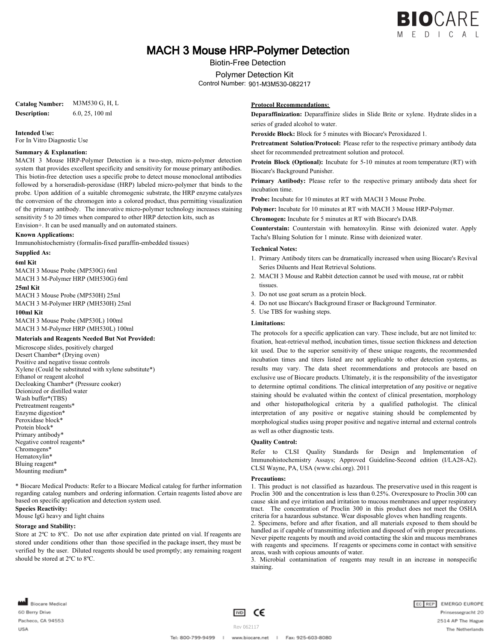

# MACH 3 Mouse HRP-Polymer Detection

Biotin-Free Detection

Polymer Detection Kit

Control Number: 901-M3M530-082217

**Catalog Number:** M3M530 G, H, L **Description:** 6.0, 25, 100 ml

**Intended Use:**

For In Vitro Diagnostic Use

#### **Summary & Explanation:**

MACH 3 Mouse HRP-Polymer Detection is a two-step, micro-polymer detection system that provides excellent specificity and sensitivity for mouse primary antibodies. This biotin-free detection uses a specific probe to detect mouse monoclonal antibodies followed by a horseradish-peroxidase (HRP) labeled micro-polymer that binds to the probe. Upon addition of a suitable chromogenic substrate, the HRP enzyme catalyzes the conversion of the chromogen into a colored product, thus permitting visualization of the primary antibody. The innovative micro-polymer technology increases staining sensitivity 5 to 20 times when compared to other HRP detection kits, such as Envision+. It can be used manually and on automated stainers.

**Known Applications:**

Immunohistochemistry (formalin-fixed paraffin-embedded tissues)

#### **Supplied As:**

**6ml Kit**

MACH 3 Mouse Probe (MP530G) 6ml MACH 3 M-Polymer HRP (MH530G) 6ml

#### **25ml Kit**

MACH 3 Mouse Probe (MP530H) 25ml MACH 3 M-Polymer HRP (MH530H) 25ml **100ml Kit**

MACH 3 Mouse Probe (MP530L) 100ml MACH 3 M-Polymer HRP (MH530L) 100ml

#### **Materials and Reagents Needed But Not Provided:**

Microscope slides, positively charged Desert Chamber\* (Drying oven) Positive and negative tissue controls Xylene (Could be substituted with xylene substitute\*) Ethanol or reagent alcohol Decloaking Chamber\* (Pressure cooker) Deionized or distilled water Wash buffer\*(TBS) Pretreatment reagents\* Enzyme digestion\* Peroxidase block\* Protein block\* Primary antibody\* Negative control reagents\* Chromogens\* Hematoxylin\* Bluing reagent\* Mounting medium\*

\* Biocare Medical Products: Refer to a Biocare Medical catalog for further information regarding catalog numbers and ordering information. Certain reagents listed above are based on specific application and detection system used. **Species Reactivity:**

Mouse IgG heavy and light chains

#### **Storage and Stability:**

Store at 2ºC to 8ºC. Do not use after expiration date printed on vial. If reagents are stored under conditions other than those specified in the package insert, they must be verified by the user. Diluted reagents should be used promptly; any remaining reagent should be stored at 2ºC to 8ºC.

# **Protocol Recommendations:**

**Deparaffinization:** Deparaffinize slides in Slide Brite or xylene. Hydrate slides in a series of graded alcohol to water.

**Peroxide Block:** Block for 5 minutes with Biocare's Peroxidazed 1.

**Pretreatment Solution/Protocol:** Please refer to the respective primary antibody data sheet for recommended pretreatment solution and protocol.

**Protein Block (Optional):** Incubate for 5-10 minutes at room temperature (RT) with Biocare's Background Punisher.

**Primary Antibody:** Please refer to the respective primary antibody data sheet for incubation time.

**Probe:** Incubate for 10 minutes at RT with MACH 3 Mouse Probe.

**Polymer:** Incubate for 10 minutes at RT with MACH 3 Mouse HRP-Polymer.

**Chromogen:** Incubate for 5 minutes at RT with Biocare's DAB.

**Counterstain:** Counterstain with hematoxylin. Rinse with deionized water. Apply Tacha's Bluing Solution for 1 minute. Rinse with deionized water.

### **Technical Notes:**

- 1. Primary Antibody titers can be dramatically increased when using Biocare's Revival Series Diluents and Heat Retrieval Solutions.
- 2. MACH 3 Mouse and Rabbit detection cannot be used with mouse, rat or rabbit tissues.
- 3. Do not use goat serum as a protein block.
- 4. Do not use Biocare's Background Eraser or Background Terminator.
- 5. Use TBS for washing steps.

#### **Limitations:**

The protocols for a specific application can vary. These include, but are not limited to: fixation, heat-retrieval method, incubation times, tissue section thickness and detection kit used. Due to the superior sensitivity of these unique reagents, the recommended incubation times and titers listed are not applicable to other detection systems, as results may vary. The data sheet recommendations and protocols are based on exclusive use of Biocare products. Ultimately, it is the responsibility of the investigator to determine optimal conditions. The clinical interpretation of any positive or negative staining should be evaluated within the context of clinical presentation, morphology and other histopathological criteria by a qualified pathologist. The clinical interpretation of any positive or negative staining should be complemented by morphological studies using proper positive and negative internal and external controls as well as other diagnostic tests.

### **Quality Control:**

Refer to CLSI Quality Standards for Design and Implementation of Immunohistochemistry Assays; Approved Guideline-Second edition (I/LA28-A2). CLSI Wayne, PA, USA (www.clsi.org). 2011

#### **Precautions:**

1. This product is not classified as hazardous. The preservative used in this reagent is Proclin 300 and the concentration is less than 0.25%. Overexposure to Proclin 300 can cause skin and eye irritation and irritation to mucous membranes and upper respiratory tract. The concentration of Proclin 300 in this product does not meet the OSHA criteria for a hazardous substance. Wear disposable gloves when handling reagents.

2. Specimens, before and after fixation, and all materials exposed to them should be handled as if capable of transmitting infection and disposed of with proper precautions. Never pipette reagents by mouth and avoid contacting the skin and mucous membranes with reagents and specimens. If reagents or specimens come in contact with sensitive areas, wash with copious amounts of water.

3. Microbial contamination of reagents may result in an increase in nonspecific staining.

Biocare Medical 60 Berry Drive Pacheco, CA 94553 **USA** 



 $\mathbb I$ 

Tel: 800-799-9499

EC REP EMERGO EUROPE Prinsessegracht 20 2514 AP The Hague The Netherlands